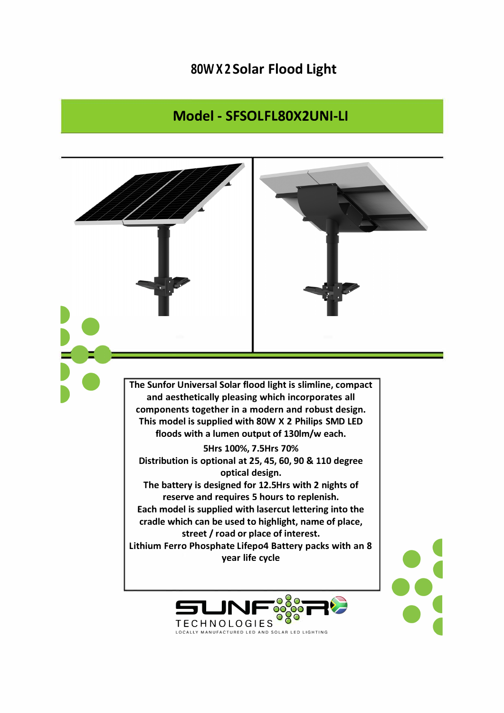## **80W X 2 Solar Flood Light**

## **Model - SFSOLFL80X2UNI-LI**